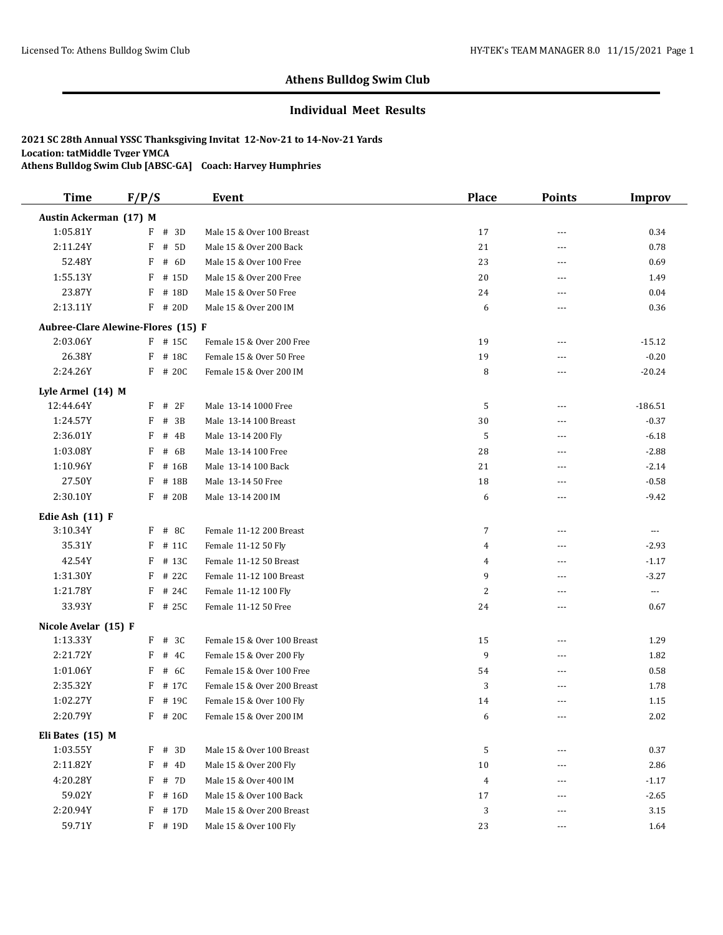#### **Individual Meet Results**

| <b>Time</b>            | F/P/S                                     | Event                       | <b>Place</b>   | <b>Points</b>  | <b>Improv</b>        |
|------------------------|-------------------------------------------|-----------------------------|----------------|----------------|----------------------|
| Austin Ackerman (17) M |                                           |                             |                |                |                      |
| 1:05.81Y               | $F$ # 3D                                  | Male 15 & Over 100 Breast   | 17             | ---            | 0.34                 |
| 2:11.24Y               | # 5D<br>F                                 | Male 15 & Over 200 Back     | 21             | $\overline{a}$ | 0.78                 |
| 52.48Y                 | F<br># 6D                                 | Male 15 & Over 100 Free     | 23             | ---            | 0.69                 |
| 1:55.13Y               | F<br># 15D                                | Male 15 & Over 200 Free     | 20             | ---            | 1.49                 |
| 23.87Y                 | F<br># 18D                                | Male 15 & Over 50 Free      | 24             | ---            | 0.04                 |
| 2:13.11Y               | F # 20D                                   | Male 15 & Over 200 IM       | 6              | ---            | 0.36                 |
|                        | <b>Aubree-Clare Alewine-Flores (15) F</b> |                             |                |                |                      |
| 2:03.06Y               | $F$ # 15C                                 | Female 15 & Over 200 Free   | 19             | ---            | $-15.12$             |
| 26.38Y                 | F<br># 18C                                | Female 15 & Over 50 Free    | 19             | $\overline{a}$ | $-0.20$              |
| 2:24.26Y               | F # 20C                                   | Female 15 & Over 200 IM     | 8              | ---            | $-20.24$             |
| Lyle Armel (14) M      |                                           |                             |                |                |                      |
| 12:44.64Y              | #2F<br>F                                  | Male 13-14 1000 Free        | 5              | ---            | $-186.51$            |
| 1:24.57Y               | # 3B<br>F                                 | Male 13-14 100 Breast       | 30             | ---            | $-0.37$              |
| 2:36.01Y               | F<br># 4B                                 | Male 13-14 200 Fly          | 5              | ---            | $-6.18$              |
| 1:03.08Y               | F<br># 6B                                 | Male 13-14 100 Free         | 28             | ---            | $-2.88$              |
| 1:10.96Y               | F<br># 16B                                | Male 13-14 100 Back         | 21             | $\overline{a}$ | $-2.14$              |
| 27.50Y                 | F<br># 18B                                | Male 13-14 50 Free          | 18             | ---            | $-0.58$              |
| 2:30.10Y               | F<br># 20B                                | Male 13-14 200 IM           | 6              | $\overline{a}$ | $-9.42$              |
| Edie Ash (11) F        |                                           |                             |                |                |                      |
| 3:10.34Y               | $F$ # 8C                                  | Female 11-12 200 Breast     | $\overline{7}$ | ---            | $\scriptstyle\cdots$ |
| 35.31Y                 | F<br># 11C                                | Female 11-12 50 Fly         | 4              | ---            | $-2.93$              |
| 42.54Y                 | F<br># 13C                                | Female 11-12 50 Breast      | 4              | ---            | $-1.17$              |
| 1:31.30Y               | # 22C<br>F                                | Female 11-12 100 Breast     | 9              | ---            | $-3.27$              |
| 1:21.78Y               | $F$ # 24C                                 | Female 11-12 100 Fly        | $\overline{c}$ | ---            | $\scriptstyle\cdots$ |
| 33.93Y                 | F # 25C                                   | Female 11-12 50 Free        | 24             | ---            | 0.67                 |
| Nicole Avelar (15) F   |                                           |                             |                |                |                      |
| 1:13.33Y               | $F$ # 3C                                  | Female 15 & Over 100 Breast | 15             | ---            | 1.29                 |
| 2:21.72Y               | F<br># 4C                                 | Female 15 & Over 200 Fly    | 9              | ---            | 1.82                 |
| 1:01.06Y               | F<br># 6C                                 | Female 15 & Over 100 Free   | 54             | ---            | 0.58                 |
| 2:35.32Y               | F<br># 17C                                | Female 15 & Over 200 Breast | 3              | ---            | 1.78                 |
| 1:02.27Y               | F<br># 19C                                | Female 15 & Over 100 Fly    | 14             | ---            | 1.15                 |
| 2:20.79Y               | F # 20C                                   | Female 15 & Over 200 IM     | 6              | $- - -$        | 2.02                 |
| Eli Bates (15) M       |                                           |                             |                |                |                      |
| 1:03.55Y               | $F$ # 3D                                  | Male 15 & Over 100 Breast   | 5              | ---            | 0.37                 |
| 2:11.82Y               | F<br># 4D                                 | Male 15 & Over 200 Fly      | 10             | ---            | 2.86                 |
| 4:20.28Y               | F<br># 7D                                 | Male 15 & Over 400 IM       | $\overline{4}$ | ---            | $-1.17$              |
| 59.02Y                 | F<br># 16D                                | Male 15 & Over 100 Back     | 17             | ---            | $-2.65$              |
| 2:20.94Y               | F # 17D                                   | Male 15 & Over 200 Breast   | 3              | ---            | 3.15                 |
| 59.71Y                 | F # 19D                                   | Male 15 & Over 100 Fly      | 23             | ---            | 1.64                 |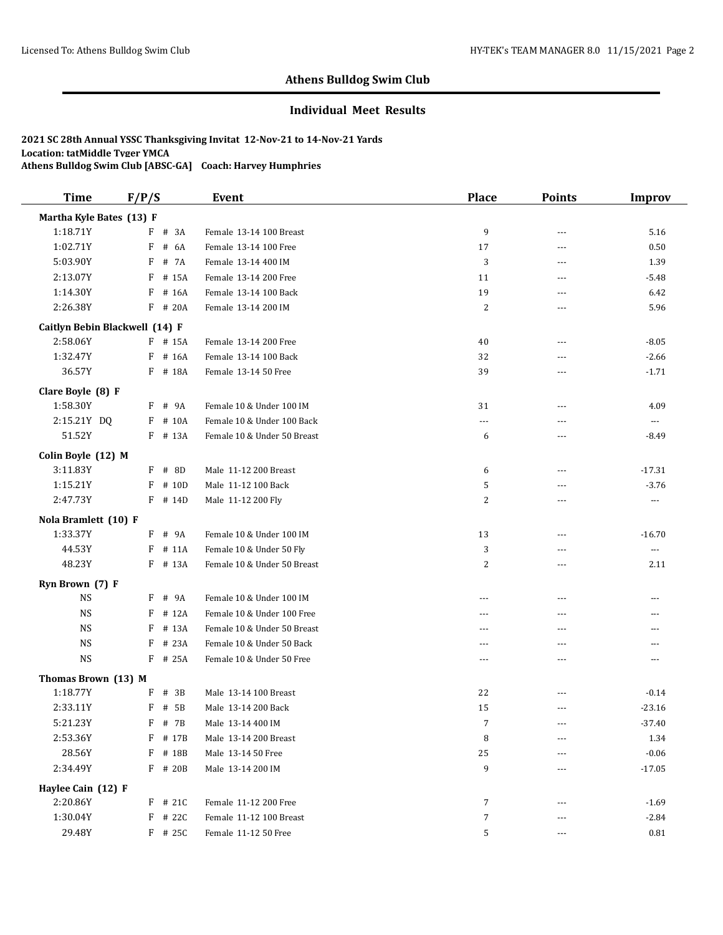#### **Individual Meet Results**

| <b>Time</b>                    | F/P/S      | <b>Event</b>                | <b>Place</b>   | <b>Points</b>  | <b>Improv</b>            |
|--------------------------------|------------|-----------------------------|----------------|----------------|--------------------------|
| Martha Kyle Bates (13) F       |            |                             |                |                |                          |
| 1:18.71Y                       | $F$ # 3A   | Female 13-14 100 Breast     | 9              | $\sim$ $\sim$  | 5.16                     |
| 1:02.71Y                       | # 6A<br>F  | Female 13-14 100 Free       | 17             | ---            | 0.50                     |
| 5:03.90Y                       | F<br># 7A  | Female 13-14 400 IM         | 3              | ---            | 1.39                     |
| 2:13.07Y                       | # 15A<br>F | Female 13-14 200 Free       | 11             | $---$          | $-5.48$                  |
| 1:14.30Y                       | F<br># 16A | Female 13-14 100 Back       | 19             | ---            | 6.42                     |
| 2:26.38Y                       | F # 20A    | Female 13-14 200 IM         | $\overline{c}$ | $---$          | 5.96                     |
| Caitlyn Bebin Blackwell (14) F |            |                             |                |                |                          |
| 2:58.06Y                       | F # 15A    | Female 13-14 200 Free       | 40             | $\overline{a}$ | $-8.05$                  |
| 1:32.47Y                       | F # 16A    | Female 13-14 100 Back       | 32             | $\sim$ $\sim$  | $-2.66$                  |
| 36.57Y                         | F # 18A    | Female 13-14 50 Free        | 39             | $\sim$ $\sim$  | $-1.71$                  |
| Clare Boyle (8) F              |            |                             |                |                |                          |
| 1:58.30Y                       | F # 9A     | Female 10 & Under 100 IM    | 31             | $---$          | 4.09                     |
| 2:15.21Y DQ                    | F # 10A    | Female 10 & Under 100 Back  | $---$          | $---$          | $\overline{\phantom{a}}$ |
| 51.52Y                         | F # 13A    | Female 10 & Under 50 Breast | 6              | ---            | $-8.49$                  |
| Colin Boyle (12) M             |            |                             |                |                |                          |
| 3:11.83Y                       | # 8D<br>F  | Male 11-12 200 Breast       | 6              | $---$          | $-17.31$                 |
| 1:15.21Y                       | $F$ # 10D  | Male 11-12 100 Back         | 5              | $- - -$        | $-3.76$                  |
| 2:47.73Y                       | $F$ # 14D  | Male 11-12 200 Fly          | 2              | ---            | $\cdots$                 |
| Nola Bramlett (10) F           |            |                             |                |                |                          |
| 1:33.37Y                       | F # 9A     | Female 10 & Under 100 IM    | 13             | $---$          | $-16.70$                 |
| 44.53Y                         | F<br># 11A | Female 10 & Under 50 Fly    | 3              | ---            | $\scriptstyle \cdots$    |
| 48.23Y                         | # 13A<br>F | Female 10 & Under 50 Breast | 2              | ---            | 2.11                     |
| Ryn Brown (7) F                |            |                             |                |                |                          |
| <b>NS</b>                      | $F$ # 9A   | Female 10 & Under 100 IM    | $- - -$        | $- - -$        | ---                      |
| <b>NS</b>                      | # 12A<br>F | Female 10 & Under 100 Free  | ---            | $---$          | ---                      |
| <b>NS</b>                      | # 13A<br>F | Female 10 & Under 50 Breast | $\sim$ $\sim$  | $\sim$ $\sim$  | $\overline{a}$           |
| <b>NS</b>                      | # 23A<br>F | Female 10 & Under 50 Back   | ---            | ---            | ---                      |
| <b>NS</b>                      | F<br># 25A | Female 10 & Under 50 Free   | $\cdots$       | $\overline{a}$ | ---                      |
| Thomas Brown (13) M            |            |                             |                |                |                          |
| 1:18.77Y                       | # 3B<br>F  | Male 13-14 100 Breast       | 22             |                | $-0.14$                  |
| 2:33.11Y                       | # 5B<br>F  | Male 13-14 200 Back         | 15             | $\sim$ $\sim$  | $-23.16$                 |
| 5:21.23Y                       | F<br># 7B  | Male 13-14 400 IM           | 7              | $\cdots$       | $-37.40$                 |
| 2:53.36Y                       | # 17B<br>F | Male 13-14 200 Breast       | 8              | ---            | 1.34                     |
| 28.56Y                         | F # 18B    | Male 13-14 50 Free          | $25\,$         |                | $-0.06$                  |
| 2:34.49Y                       | F # 20B    | Male 13-14 200 IM           | 9              | ---            | $-17.05$                 |
| Haylee Cain (12) F             |            |                             |                |                |                          |
| 2:20.86Y                       | $F$ # 21C  | Female 11-12 200 Free       | 7              |                | $-1.69$                  |
| 1:30.04Y                       | F # 22C    | Female 11-12 100 Breast     | 7              |                | $-2.84$                  |
| 29.48Y                         | $F$ # 25C  | Female 11-12 50 Free        | 5              |                | 0.81                     |
|                                |            |                             |                |                |                          |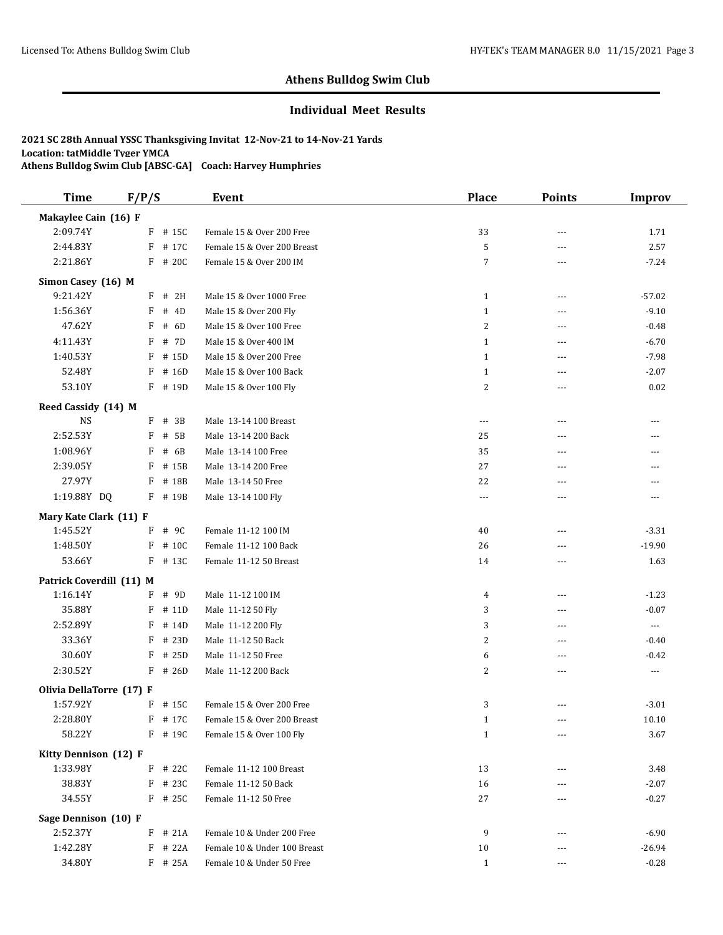#### **Individual Meet Results**

| <b>Time</b>              | F/P/S |            | <b>Event</b>                 | <b>Place</b>   | <b>Points</b>  | <b>Improv</b> |
|--------------------------|-------|------------|------------------------------|----------------|----------------|---------------|
| Makaylee Cain (16) F     |       |            |                              |                |                |               |
| 2:09.74Y                 |       | $F$ # 15C  | Female 15 & Over 200 Free    | 33             | $\sim$ $\sim$  | 1.71          |
| 2:44.83Y                 | F     | # 17C      | Female 15 & Over 200 Breast  | 5              | ---            | 2.57          |
| 2:21.86Y                 |       | F # 20C    | Female 15 & Over 200 IM      | $\overline{7}$ | $\overline{a}$ | $-7.24$       |
| Simon Casey (16) M       |       |            |                              |                |                |               |
| 9:21.42Y                 | F     | # 2H       | Male 15 & Over 1000 Free     | $\mathbf{1}$   | $\overline{a}$ | $-57.02$      |
| 1:56.36Y                 | F     | $\#$<br>4D | Male 15 & Over 200 Fly       | $\mathbf{1}$   | $\overline{a}$ | $-9.10$       |
| 47.62Y                   | F     | # 6D       | Male 15 & Over 100 Free      | $\overline{c}$ | ---            | $-0.48$       |
| 4:11.43Y                 | F     | # 7D       | Male 15 & Over 400 IM        | $\mathbf{1}$   | ---            | $-6.70$       |
| 1:40.53Y                 | F     | # 15D      | Male 15 & Over 200 Free      | $\mathbf{1}$   | ---            | $-7.98$       |
| 52.48Y                   | F     | # 16D      | Male 15 & Over 100 Back      | $\mathbf{1}$   | ---            | $-2.07$       |
| 53.10Y                   |       | $F$ # 19D  | Male 15 & Over 100 Fly       | $\sqrt{2}$     | ---            | 0.02          |
| Reed Cassidy (14) M      |       |            |                              |                |                |               |
| <b>NS</b>                |       | $F$ # 3B   | Male 13-14 100 Breast        | $---$          | ---            | ---           |
| 2:52.53Y                 | F     | # 5B       | Male 13-14 200 Back          | 25             | $\overline{a}$ | ---           |
| 1:08.96Y                 | F     | # $6B$     | Male 13-14 100 Free          | 35             | $\sim$ $\sim$  | ---           |
| 2:39.05Y                 | F     | # 15B      | Male 13-14 200 Free          | 27             | ---            | ---           |
| 27.97Y                   | F     | # 18B      | Male 13-14 50 Free           | 22             | ---            | ---           |
| 1:19.88Y DQ              |       | F # 19B    | Male 13-14 100 Fly           | $---$          | ---            | ---           |
| Mary Kate Clark (11) F   |       |            |                              |                |                |               |
| 1:45.52Y                 | F     | # 9C       | Female 11-12 100 IM          | 40             | ---            | $-3.31$       |
| 1:48.50Y                 | F     | # 10C      | Female 11-12 100 Back        | 26             | ---            | $-19.90$      |
| 53.66Y                   |       | $F$ # 13C  | Female 11-12 50 Breast       | 14             | ---            | 1.63          |
| Patrick Coverdill (11) M |       |            |                              |                |                |               |
| 1:16.14Y                 | F     | # 9D       | Male 11-12 100 IM            | 4              | $\overline{a}$ | $-1.23$       |
| 35.88Y                   | F     | # 11D      | Male 11-12 50 Fly            | 3              | ---            | $-0.07$       |
| 2:52.89Y                 | F     | # 14D      | Male 11-12 200 Fly           | 3              | $\overline{a}$ | $\cdots$      |
| 33.36Y                   | F     | # 23D      | Male 11-12 50 Back           | 2              | $\overline{a}$ | $-0.40$       |
| 30.60Y                   | F     | # 25D      | Male 11-12 50 Free           | 6              | $---$          | $-0.42$       |
| 2:30.52Y                 | F     | # 26D      | Male 11-12 200 Back          | 2              | ---            | $\cdots$      |
| Olivia DellaTorre (17) F |       |            |                              |                |                |               |
| 1:57.92Y                 |       | F # 15C    | Female 15 & Over 200 Free    | 3              | ---            | $-3.01$       |
| 2:28.80Y                 |       | $F$ # 17C  | Female 15 & Over 200 Breast  | $\mathbf{1}$   |                | 10.10         |
| 58.22Y                   |       | $F$ # 19C  | Female 15 & Over 100 Fly     | 1              | ---            | 3.67          |
| Kitty Dennison (12) F    |       |            |                              |                |                |               |
| 1:33.98Y                 |       | $F$ # 22C  | Female 11-12 100 Breast      | 13             | ---            | 3.48          |
| 38.83Y                   |       | $F$ # 23C  | Female 11-12 50 Back         | 16             |                | $-2.07$       |
| 34.55Y                   |       | $F$ # 25C  | Female 11-12 50 Free         | 27             |                | $-0.27$       |
| Sage Dennison (10) F     |       |            |                              |                |                |               |
| 2:52.37Y                 |       | $F$ # 21A  | Female 10 & Under 200 Free   | 9              |                | $-6.90$       |
| 1:42.28Y                 |       | $F$ # 22A  | Female 10 & Under 100 Breast | 10             | ---            | $-26.94$      |
| 34.80Y                   |       | $F$ # 25A  | Female 10 & Under 50 Free    | $\mathbf{1}$   | ---            | $-0.28$       |
|                          |       |            |                              |                |                |               |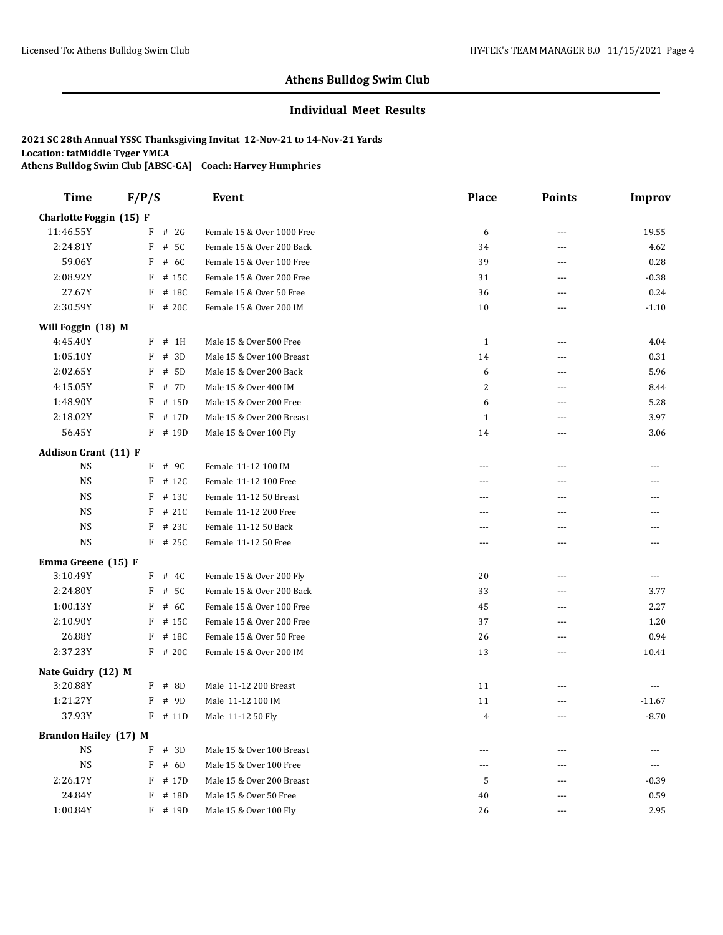#### **Individual Meet Results**

| <b>Time</b>                  | F/P/S |           | Event                      | <b>Place</b>   | <b>Points</b>  | <b>Improv</b>  |
|------------------------------|-------|-----------|----------------------------|----------------|----------------|----------------|
| Charlotte Foggin (15) F      |       |           |                            |                |                |                |
| 11:46.55Y                    | F     | # 2G      | Female 15 & Over 1000 Free | 6              | $---$          | 19.55          |
| 2:24.81Y                     | F     | # 5C      | Female 15 & Over 200 Back  | 34             | $\sim$ $\sim$  | 4.62           |
| 59.06Y                       | F     | # 6C      | Female 15 & Over 100 Free  | 39             | $---$          | 0.28           |
| 2:08.92Y                     | F     | # 15C     | Female 15 & Over 200 Free  | 31             | $\overline{a}$ | $-0.38$        |
| 27.67Y                       | F     | # 18C     | Female 15 & Over 50 Free   | 36             | $\overline{a}$ | 0.24           |
| 2:30.59Y                     | F     | # 20C     | Female 15 & Over 200 IM    | 10             | $---$          | $-1.10$        |
| Will Foggin (18) M           |       |           |                            |                |                |                |
| 4:45.40Y                     | F     | # 1H      | Male 15 & Over 500 Free    | $\mathbf{1}$   | $---$          | 4.04           |
| 1:05.10Y                     | F     | # 3D      | Male 15 & Over 100 Breast  | 14             | $- - -$        | 0.31           |
| 2:02.65Y                     | F     | # 5D      | Male 15 & Over 200 Back    | 6              | $\overline{a}$ | 5.96           |
| 4:15.05Y                     | F     | # 7D      | Male 15 & Over 400 IM      | 2              | $- - -$        | 8.44           |
| 1:48.90Y                     | F     | # 15D     | Male 15 & Over 200 Free    | 6              | $\sim$ $\sim$  | 5.28           |
| 2:18.02Y                     | F     | # 17D     | Male 15 & Over 200 Breast  | $\mathbf{1}$   | ---            | 3.97           |
| 56.45Y                       |       | $F$ # 19D | Male 15 & Over 100 Fly     | 14             | $\overline{a}$ | 3.06           |
| <b>Addison Grant (11) F</b>  |       |           |                            |                |                |                |
| $_{\rm NS}$                  |       | $F$ # 9C  | Female 11-12 100 IM        | $---$          | $- - -$        | $- - -$        |
| <b>NS</b>                    | F     | # 12C     | Female 11-12 100 Free      | $\overline{a}$ | ---            | ---            |
| <b>NS</b>                    | F     | # 13C     | Female 11-12 50 Breast     | $---$          | $- - -$        | ---            |
| <b>NS</b>                    | F     | # 21C     | Female 11-12 200 Free      | $---$          | ---            | ---            |
| <b>NS</b>                    | F     | # 23C     | Female 11-12 50 Back       | $- - -$        | ---            | ---            |
| <b>NS</b>                    |       | F # 25C   | Female 11-12 50 Free       | ---            | $\overline{a}$ | ---            |
| Emma Greene (15) F           |       |           |                            |                |                |                |
| 3:10.49Y                     | F     | # 4C      | Female 15 & Over 200 Fly   | 20             | $\sim$ $\sim$  | $\overline{a}$ |
| 2:24.80Y                     | F     | # 5C      | Female 15 & Over 200 Back  | 33             | $---$          | 3.77           |
| 1:00.13Y                     | F     | # 6C      | Female 15 & Over 100 Free  | 45             | $- - -$        | 2.27           |
| 2:10.90Y                     | F     | # 15C     | Female 15 & Over 200 Free  | 37             | $\overline{a}$ | 1.20           |
| 26.88Y                       | F     | # 18C     | Female 15 & Over 50 Free   | 26             | ---            | 0.94           |
| 2:37.23Y                     | F     | # 20C     | Female 15 & Over 200 IM    | 13             | $\overline{a}$ | 10.41          |
| Nate Guidry (12) M           |       |           |                            |                |                |                |
| 3:20.88Y                     | F     | # 8D      | Male 11-12 200 Breast      | 11             | ---            | ---            |
| 1:21.27Y                     | F     | # 9D      | Male 11-12 100 IM          | 11             | $---$          | $-11.67$       |
| 37.93Y                       |       | $F$ # 11D | Male 11-12 50 Fly          | 4              | $- - -$        | $-8.70$        |
| <b>Brandon Hailey (17) M</b> |       |           |                            |                |                |                |
| $_{\rm NS}$                  | F     | # 3D      | Male 15 & Over 100 Breast  | $---$          | $---$          | $\cdots$       |
| <b>NS</b>                    | F     | # 6D      | Male 15 & Over 100 Free    | $---$          | ---            | ---            |
| 2:26.17Y                     | F     | # 17D     | Male 15 & Over 200 Breast  | 5              | $---$          | $-0.39$        |
| 24.84Y                       | F     | # 18D     | Male 15 & Over 50 Free     | 40             | $- - -$        | 0.59           |
| 1:00.84Y                     |       | F # 19D   | Male 15 & Over 100 Fly     | 26             | ---            | 2.95           |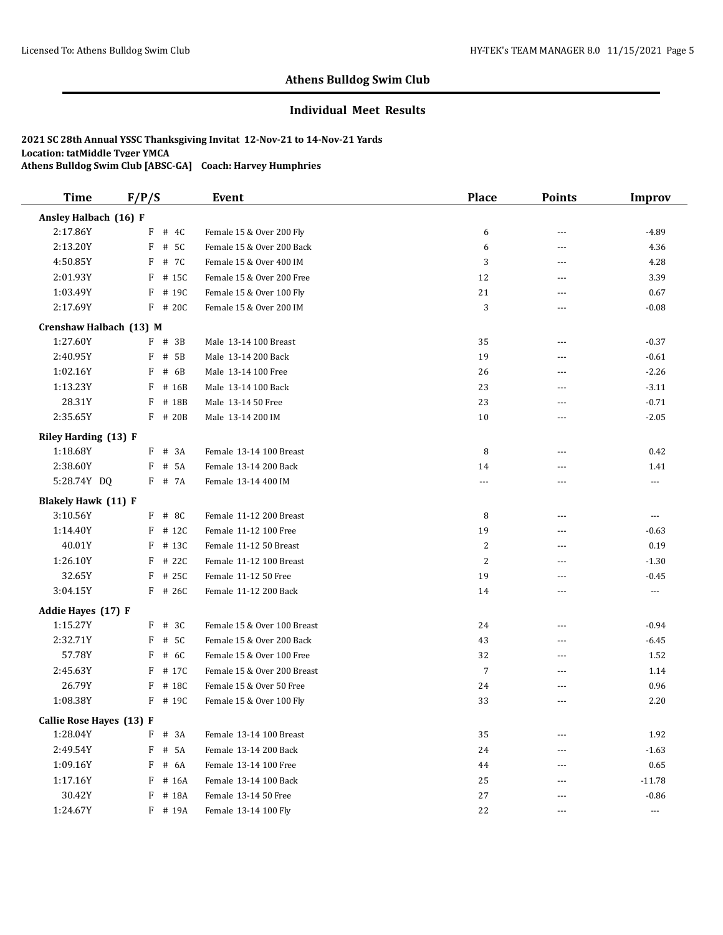#### **Individual Meet Results**

| <b>Time</b>                | F/P/S        |          | Event                       | <b>Place</b>   | <b>Points</b>  | <b>Improv</b>            |
|----------------------------|--------------|----------|-----------------------------|----------------|----------------|--------------------------|
| Ansley Halbach (16) F      |              |          |                             |                |                |                          |
| 2:17.86Y                   |              | F # 4C   | Female 15 & Over 200 Fly    | 6              | ---            | $-4.89$                  |
| 2:13.20Y                   | $\mathbf{F}$ | # 5C     | Female 15 & Over 200 Back   | 6              | $\overline{a}$ | 4.36                     |
| 4:50.85Y                   | F            | # 7C     | Female 15 & Over 400 IM     | 3              | $\overline{a}$ | 4.28                     |
| 2:01.93Y                   | F            | # 15C    | Female 15 & Over 200 Free   | 12             | $- - -$        | 3.39                     |
| 1:03.49Y                   | F            | # 19C    | Female 15 & Over 100 Fly    | 21             | $\overline{a}$ | 0.67                     |
| 2:17.69Y                   |              | F # 20C  | Female 15 & Over 200 IM     | 3              | ---            | $-0.08$                  |
| Crenshaw Halbach (13) M    |              |          |                             |                |                |                          |
| 1:27.60Y                   | F            | # 3B     | Male 13-14 100 Breast       | 35             | ---            | $-0.37$                  |
| 2:40.95Y                   | F            | # 5B     | Male 13-14 200 Back         | 19             | $\overline{a}$ | $-0.61$                  |
| 1:02.16Y                   | F            | # 6B     | Male 13-14 100 Free         | 26             | $\overline{a}$ | $-2.26$                  |
| 1:13.23Y                   | F            | # 16B    | Male 13-14 100 Back         | 23             | $- - -$        | $-3.11$                  |
| 28.31Y                     | F            | # 18B    | Male 13-14 50 Free          | 23             | $\overline{a}$ | $-0.71$                  |
| 2:35.65Y                   |              | F # 20B  | Male 13-14 200 IM           | 10             | ---            | $-2.05$                  |
| Riley Harding (13) F       |              |          |                             |                |                |                          |
| 1:18.68Y                   |              | $F$ # 3A | Female 13-14 100 Breast     | 8              | ---            | 0.42                     |
| 2:38.60Y                   | F            | # 5A     | Female 13-14 200 Back       | 14             | $\overline{a}$ | 1.41                     |
| 5:28.74Y DQ                |              | F # 7A   | Female 13-14 400 IM         | $---$          | ---            | ---                      |
| <b>Blakely Hawk (11) F</b> |              |          |                             |                |                |                          |
| 3:10.56Y                   |              | $F$ # 8C | Female 11-12 200 Breast     | 8              | ---            | $\overline{a}$           |
| 1:14.40Y                   | F            | # 12C    | Female 11-12 100 Free       | 19             | $\overline{a}$ | $-0.63$                  |
| 40.01Y                     | F            | # 13C    | Female 11-12 50 Breast      | 2              | $\overline{a}$ | 0.19                     |
| 1:26.10Y                   | F            | # 22C    | Female 11-12 100 Breast     | $\overline{c}$ | ---            | $-1.30$                  |
| 32.65Y                     | F            | # 25C    | Female 11-12 50 Free        | 19             | ---            | $-0.45$                  |
| 3:04.15Y                   |              | F # 26C  | Female 11-12 200 Back       | 14             | ---            | ---                      |
| Addie Hayes (17) F         |              |          |                             |                |                |                          |
| 1:15.27Y                   | F            | # 3C     | Female 15 & Over 100 Breast | 24             | ---            | $-0.94$                  |
| 2:32.71Y                   | F            | # 5C     | Female 15 & Over 200 Back   | 43             | ---            | $-6.45$                  |
| 57.78Y                     | F            | # 6C     | Female 15 & Over 100 Free   | 32             | ---            | 1.52                     |
| 2:45.63Y                   | F            | # 17C    | Female 15 & Over 200 Breast | 7              | ---            | 1.14                     |
| 26.79Y                     | F            | # 18C    | Female 15 & Over 50 Free    | 24             | ---            | 0.96                     |
| 1:08.38Y                   | F            | # 19C    | Female 15 & Over 100 Fly    | 33             | ---            | 2.20                     |
| Callie Rose Hayes (13) F   |              |          |                             |                |                |                          |
| 1:28.04Y                   |              | $F$ # 3A | Female 13-14 100 Breast     | 35             |                | 1.92                     |
| 2:49.54Y                   | F            | # 5A     | Female 13-14 200 Back       | 24             |                | $-1.63$                  |
| 1:09.16Y                   | F            | # 6A     | Female 13-14 100 Free       | 44             | ---            | 0.65                     |
| 1:17.16Y                   | F            | # 16A    | Female 13-14 100 Back       | 25             |                | $-11.78$                 |
| 30.42Y                     | F            | # 18A    | Female 13-14 50 Free        | 27             | ---            | $-0.86$                  |
| 1:24.67Y                   |              | F # 19A  | Female 13-14 100 Fly        | 22             | ---            | $\hspace{0.05cm} \ldots$ |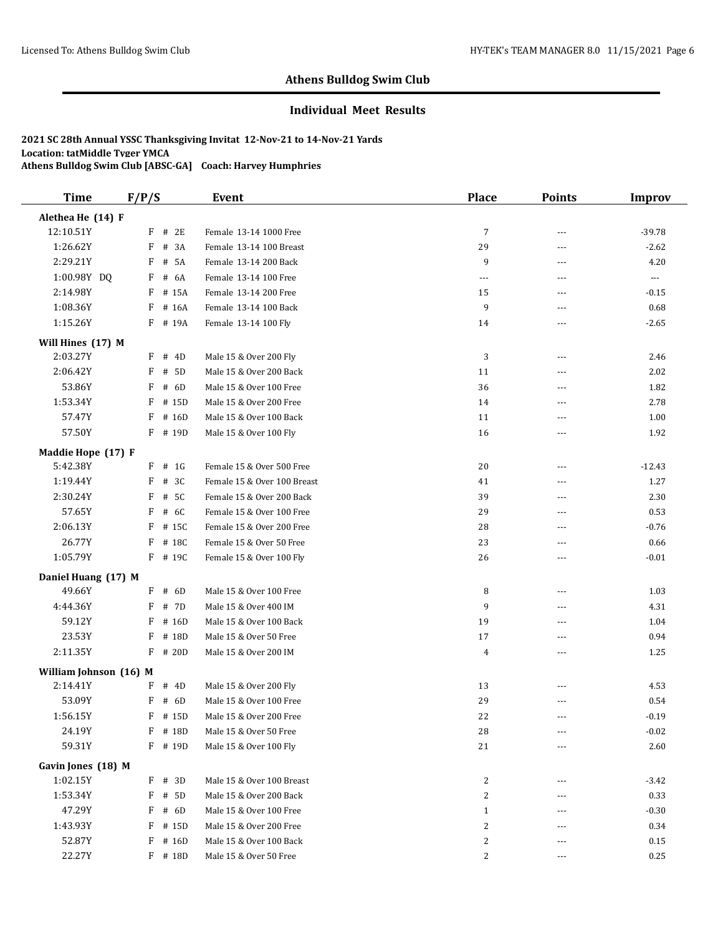#### **Individual Meet Results**

| <b>Time</b>                    | F/P/S |           | Event                       | <b>Place</b>   | <b>Points</b>  | <b>Improv</b>        |
|--------------------------------|-------|-----------|-----------------------------|----------------|----------------|----------------------|
| Alethea He (14) F              |       |           |                             |                |                |                      |
| 12:10.51Y                      | F     | # 2E      | Female 13-14 1000 Free      | $\overline{7}$ | ---            | $-39.78$             |
| 1:26.62Y                       | F     | # 3A      | Female 13-14 100 Breast     | 29             | $\overline{a}$ | $-2.62$              |
| 2:29.21Y                       | F     | # 5A      | Female 13-14 200 Back       | 9              | ---            | 4.20                 |
| 1:00.98Y DQ                    | F     | # 6A      | Female 13-14 100 Free       | ---            | ---            | $\scriptstyle\cdots$ |
| 2:14.98Y                       | F     | # 15A     | Female 13-14 200 Free       | 15             | ---            | $-0.15$              |
| 1:08.36Y                       |       | $F$ # 16A | Female 13-14 100 Back       | 9              | ---            | 0.68                 |
| 1:15.26Y                       |       | F # 19A   | Female 13-14 100 Fly        | 14             | $- - -$        | $-2.65$              |
| Will Hines (17) M              |       |           |                             |                |                |                      |
| 2:03.27Y                       | F     | # 4D      | Male 15 & Over 200 Fly      | 3              | $\overline{a}$ | 2.46                 |
| 2:06.42Y                       | F     | # 5D      | Male 15 & Over 200 Back     | 11             | ---            | 2.02                 |
| 53.86Y                         | F     | # 6D      | Male 15 & Over 100 Free     | 36             | ---            | 1.82                 |
| 1:53.34Y                       | F     | # 15D     | Male 15 & Over 200 Free     | 14             | ---            | 2.78                 |
| 57.47Y                         | F     | # 16D     | Male 15 & Over 100 Back     | 11             | ---            | 1.00                 |
| 57.50Y                         |       | F # 19D   | Male 15 & Over 100 Fly      | 16             | $\overline{a}$ | 1.92                 |
|                                |       |           |                             |                |                |                      |
| Maddie Hope (17) F<br>5:42.38Y |       | $F$ # 1G  | Female 15 & Over 500 Free   | 20             | $\overline{a}$ | $-12.43$             |
| 1:19.44Y                       | F     | # 3C      | Female 15 & Over 100 Breast | 41             | ---            | 1.27                 |
| 2:30.24Y                       | F     | # 5C      | Female 15 & Over 200 Back   | 39             | $- - -$        | 2.30                 |
| 57.65Y                         | F     | # 6C      | Female 15 & Over 100 Free   | 29             | ---            | 0.53                 |
| 2:06.13Y                       | F     | # 15C     | Female 15 & Over 200 Free   | 28             |                | $-0.76$              |
| 26.77Y                         | F     | # 18C     | Female 15 & Over 50 Free    | 23             | ---            | 0.66                 |
| 1:05.79Y                       |       |           |                             |                | ---            |                      |
|                                |       | F # 19C   | Female 15 & Over 100 Fly    | 26             | ---            | $-0.01$              |
| Daniel Huang (17) M            |       |           |                             |                |                |                      |
| 49.66Y                         |       | $F$ # 6D  | Male 15 & Over 100 Free     | 8              | ---            | 1.03                 |
| 4:44.36Y                       | F     | # 7D      | Male 15 & Over 400 IM       | 9              | $\overline{a}$ | 4.31                 |
| 59.12Y                         | F     | # 16D     | Male 15 & Over 100 Back     | 19             | ---            | 1.04                 |
| 23.53Y                         | F     | # 18D     | Male 15 & Over 50 Free      | 17             | ---            | 0.94                 |
| 2:11.35Y                       | F     | # 20D     | Male 15 & Over 200 IM       | $\overline{4}$ | ---            | 1.25                 |
| William Johnson (16) M         |       |           |                             |                |                |                      |
| 2:14.41Y                       | F     | # 4D      | Male 15 & Over 200 Fly      | 13             | ---            | 4.53                 |
| 53.09Y                         | F     | # 6D      | Male 15 & Over 100 Free     | 29             | ---            | 0.54                 |
| 1:56.15Y                       |       | F # 15D   | Male 15 & Over 200 Free     | 22             | $- - -$        | $-0.19$              |
| 24.19Y                         | F     | # 18D     | Male 15 & Over 50 Free      | 28             |                | $-0.02$              |
| 59.31Y                         |       | F # 19D   | Male 15 & Over 100 Fly      | 21             | ---            | 2.60                 |
| Gavin Jones (18) M             |       |           |                             |                |                |                      |
| 1:02.15Y                       | F     | # 3D      | Male 15 & Over 100 Breast   | 2              | ---            | $-3.42$              |
| 1:53.34Y                       | F     | # 5D      | Male 15 & Over 200 Back     | $\overline{c}$ | ---            | 0.33                 |
| 47.29Y                         | F     | # 6D      | Male 15 & Over 100 Free     | $\mathbf{1}$   |                | $-0.30$              |
| 1:43.93Y                       |       | F # 15D   | Male 15 & Over 200 Free     | 2              |                | 0.34                 |
| 52.87Y                         | F     | # 16D     | Male 15 & Over 100 Back     | 2              |                | 0.15                 |
| 22.27Y                         |       | $F$ # 18D | Male 15 & Over 50 Free      | 2              | ---            | 0.25                 |
|                                |       |           |                             |                |                |                      |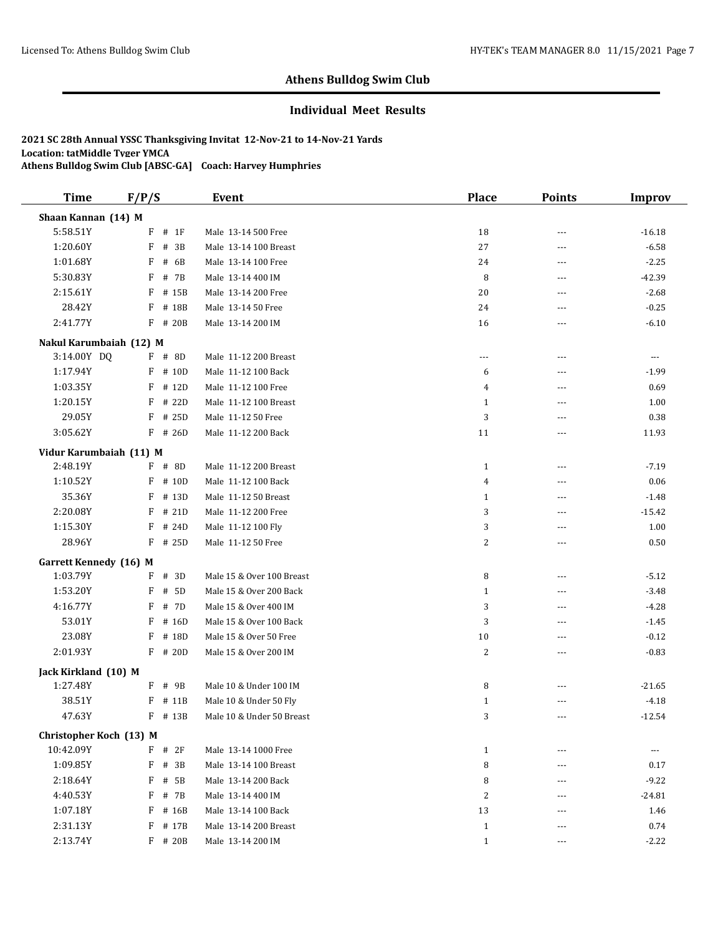#### **Individual Meet Results**

| <b>Time</b>                          | F/P/S      | <b>Event</b>              | <b>Place</b> | <b>Points</b>  | <b>Improv</b>        |
|--------------------------------------|------------|---------------------------|--------------|----------------|----------------------|
| Shaan Kannan (14) M                  |            |                           |              |                |                      |
| 5:58.51Y                             | F<br># 1F  | Male 13-14 500 Free       | 18           | ---            | $-16.18$             |
| 1:20.60Y                             | F<br># 3B  | Male 13-14 100 Breast     | 27           | ---            | $-6.58$              |
| 1:01.68Y                             | F<br># 6B  | Male 13-14 100 Free       | 24           | ---            | $-2.25$              |
| 5:30.83Y                             | # 7B<br>F  | Male 13-14 400 IM         | 8            | ---            | $-42.39$             |
| 2:15.61Y                             | F<br># 15B | Male 13-14 200 Free       | 20           | $\overline{a}$ | $-2.68$              |
| 28.42Y                               | F<br># 18B | Male 13-14 50 Free        | 24           | ---            | $-0.25$              |
| 2:41.77Y                             | F # 20B    | Male 13-14 200 IM         | 16           | ---            | $-6.10$              |
| Nakul Karumbaiah (12) M              |            |                           |              |                |                      |
| 3:14.00Y DQ                          | $F$ # 8D   | Male 11-12 200 Breast     | ---          | $\overline{a}$ | $\sim$ $\sim$ $\sim$ |
| 1:17.94Y                             | $F$ # 10D  | Male 11-12 100 Back       | 6            | ---            | $-1.99$              |
| 1:03.35Y                             | $F$ # 12D  | Male 11-12 100 Free       | 4            | ---            | 0.69                 |
| 1:20.15Y                             | F<br># 22D | Male 11-12 100 Breast     | $\mathbf{1}$ | ---            | 1.00                 |
| 29.05Y                               | F<br># 25D | Male 11-12 50 Free        | 3            | ---            | 0.38                 |
| 3:05.62Y                             | $F$ # 26D  | Male 11-12 200 Back       | 11           | ---            | 11.93                |
| Vidur Karumbaiah (11) M              |            |                           |              |                |                      |
| 2:48.19Y                             | $F$ # 8D   | Male 11-12 200 Breast     | $\mathbf{1}$ | ---            | $-7.19$              |
| 1:10.52Y                             | # 10D<br>F | Male 11-12 100 Back       | 4            | ---            | 0.06                 |
| 35.36Y                               | F<br># 13D | Male 11-12 50 Breast      | $\mathbf{1}$ | ---            | $-1.48$              |
| 2:20.08Y                             | # 21D<br>F | Male 11-12 200 Free       | 3            | ---            | $-15.42$             |
| 1:15.30Y                             | $F$ # 24D  | Male 11-12 100 Fly        | 3            | ---            | 1.00                 |
| 28.96Y                               | $F$ # 25D  | Male 11-12 50 Free        | 2            | ---            | 0.50                 |
| <b>Garrett Kennedy</b> (16) M        |            |                           |              |                |                      |
| 1:03.79Y                             | $F$ # 3D   | Male 15 & Over 100 Breast | 8            | ---            | $-5.12$              |
| 1:53.20Y                             | F<br># 5D  | Male 15 & Over 200 Back   | $\mathbf{1}$ | ---            | $-3.48$              |
| 4:16.77Y                             | F<br># 7D  | Male 15 & Over 400 IM     | 3            | ---            | $-4.28$              |
| 53.01Y                               | F<br># 16D | Male 15 & Over 100 Back   | 3            | ---            | $-1.45$              |
| 23.08Y                               | F<br># 18D | Male 15 & Over 50 Free    | 10           | ---            | $-0.12$              |
| 2:01.93Y                             | $F$ # 20D  | Male 15 & Over 200 IM     | 2            | ---            | $-0.83$              |
| Jack Kirkland (10) M                 |            |                           |              |                |                      |
| 1:27.48Y                             | F # 9B     | Male 10 & Under 100 IM    | 8            | ---            | $-21.65$             |
| 38.51Y                               | F<br># 11B | Male 10 & Under 50 Fly    | $\mathbf{1}$ | ---            | $-4.18$              |
| 47.63Y                               | F # 13B    | Male 10 & Under 50 Breast | 3            | $- - -$        | $-12.54$             |
|                                      |            |                           |              |                |                      |
| Christopher Koch (13) M<br>10:42.09Y | $F$ # 2F   | Male 13-14 1000 Free      | $\mathbf{1}$ |                | ---                  |
| 1:09.85Y                             | F<br># 3B  | Male 13-14 100 Breast     | 8            | ---            | 0.17                 |
| 2:18.64Y                             | F<br># 5B  | Male 13-14 200 Back       | 8            | ---            | $-9.22$              |
| 4:40.53Y                             | F<br># 7B  | Male 13-14 400 IM         | 2            | ---            | $-24.81$             |
| 1:07.18Y                             | F # 16B    | Male 13-14 100 Back       | 13           | ---            | 1.46                 |
| 2:31.13Y                             | F<br># 17B | Male 13-14 200 Breast     | $\mathbf{1}$ |                | 0.74                 |
| 2:13.74Y                             | F # 20B    | Male 13-14 200 IM         | $\mathbf{1}$ | ---            | $-2.22$              |
|                                      |            |                           |              |                |                      |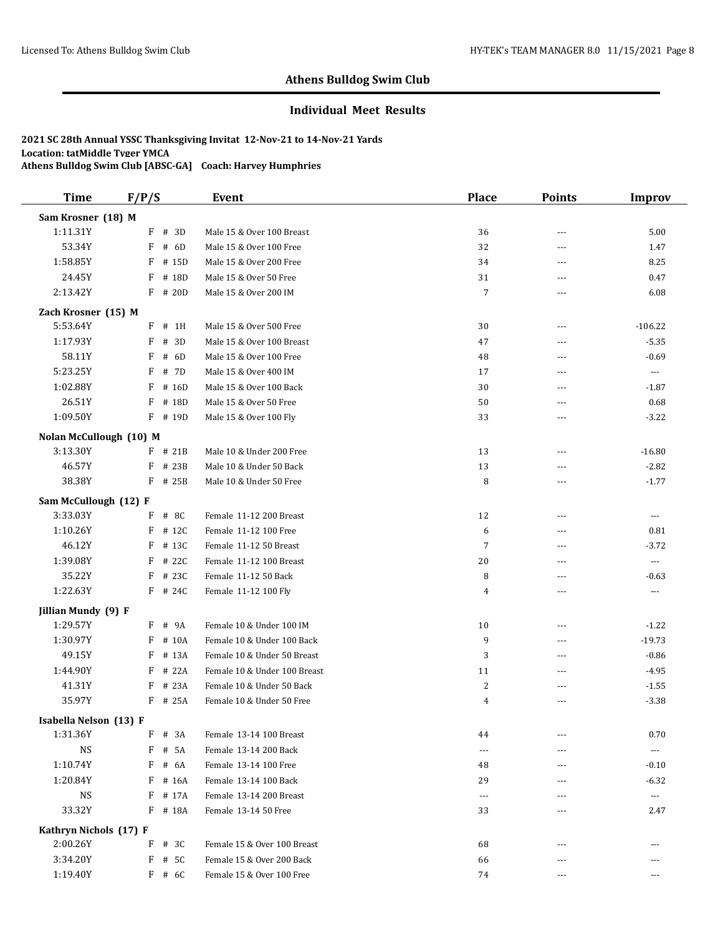#### **Individual Meet Results**

| <b>Time</b>                       | F/P/S                    | Event                                                     | <b>Place</b>   | <b>Points</b>  | Improv                   |
|-----------------------------------|--------------------------|-----------------------------------------------------------|----------------|----------------|--------------------------|
| Sam Krosner (18) M                |                          |                                                           |                |                |                          |
| 1:11.31Y                          | F<br># 3D                | Male 15 & Over 100 Breast                                 | 36             | $\sim$ $\sim$  | 5.00                     |
| 53.34Y                            | # 6D<br>F                | Male 15 & Over 100 Free                                   | 32             | ---            | 1.47                     |
| 1:58.85Y                          | F<br># 15D               | Male 15 & Over 200 Free                                   | 34             | ---            | 8.25                     |
| 24.45Y                            | # 18D<br>F               | Male 15 & Over 50 Free                                    | 31             | $\overline{a}$ | 0.47                     |
| 2:13.42Y                          | F<br># 20D               | Male 15 & Over 200 IM                                     | $\overline{7}$ | $\overline{a}$ | 6.08                     |
| Zach Krosner (15) M               |                          |                                                           |                |                |                          |
| 5:53.64Y                          | F<br># 1H                | Male 15 & Over 500 Free                                   | 30             | $---$          | $-106.22$                |
| 1:17.93Y                          | # 3D<br>F                | Male 15 & Over 100 Breast                                 | 47             | $\sim$ $\sim$  | $-5.35$                  |
| 58.11Y                            | # 6D<br>F                | Male 15 & Over 100 Free                                   | 48             | $\sim$ $\sim$  | $-0.69$                  |
| 5:23.25Y                          | F<br># 7D                | Male 15 & Over 400 IM                                     | 17             | $- - -$        | $\cdots$                 |
| 1:02.88Y                          | F<br># 16D               | Male 15 & Over 100 Back                                   | 30             | $\sim$ $\sim$  | $-1.87$                  |
| 26.51Y                            | F<br># 18D               | Male 15 & Over 50 Free                                    | 50             | ---            | 0.68                     |
| 1:09.50Y                          | F<br># 19D               | Male 15 & Over 100 Fly                                    | 33             | $---$          | $-3.22$                  |
| Nolan McCullough (10) M           |                          |                                                           |                |                |                          |
| 3:13.30Y                          | $F$ # 21B                | Male 10 & Under 200 Free                                  | 13             | $- - -$        | $-16.80$                 |
| 46.57Y                            | F<br># 23B               | Male 10 & Under 50 Back                                   | 13             | ---            | $-2.82$                  |
| 38.38Y                            | F<br># 25B               | Male 10 & Under 50 Free                                   | 8              | $- - -$        | $-1.77$                  |
|                                   |                          |                                                           |                |                |                          |
| Sam McCullough (12) F<br>3:33.03Y | #8C<br>F                 | Female 11-12 200 Breast                                   | 12             | ---            | $\scriptstyle\cdots$     |
| 1:10.26Y                          | F<br># 12C               | Female 11-12 100 Free                                     | 6              | ---            | 0.81                     |
| 46.12Y                            | F<br># 13C               | Female 11-12 50 Breast                                    | $\overline{7}$ | $- - -$        | $-3.72$                  |
| 1:39.08Y                          | # 22C<br>F               | Female 11-12 100 Breast                                   | 20             | $\sim$ $\sim$  | $\overline{\phantom{a}}$ |
| 35.22Y                            | F<br># 23C               | Female 11-12 50 Back                                      | 8              | $\overline{a}$ | $-0.63$                  |
| 1:22.63Y                          | $F$ # 24C                | Female 11-12 100 Fly                                      | 4              | $---$          | $\cdots$                 |
|                                   |                          |                                                           |                |                |                          |
| Jillian Mundy (9) F<br>1:29.57Y   | # 9A                     |                                                           |                | $---$          |                          |
| 1:30.97Y                          | F                        | Female 10 & Under 100 IM                                  | 10             |                | $-1.22$                  |
| 49.15Y                            | F<br># 10A<br>F<br># 13A | Female 10 & Under 100 Back<br>Female 10 & Under 50 Breast | 9              | ---            | $-19.73$                 |
| 1:44.90Y                          | F<br># 22A               | Female 10 & Under 100 Breast                              | 3<br>11        | ---<br>---     | $-0.86$<br>$-4.95$       |
| 41.31Y                            | # 23A<br>F               | Female 10 & Under 50 Back                                 | 2              | ---            | $-1.55$                  |
| 35.97Y                            | F<br># 25A               | Female 10 & Under 50 Free                                 | 4              | $- - -$        | $-3.38$                  |
|                                   |                          |                                                           |                |                |                          |
| Isabella Nelson (13) F            |                          |                                                           |                |                |                          |
| 1:31.36Y                          | $F$ # 3A                 | Female 13-14 100 Breast                                   | 44             | ---            | 0.70                     |
| <b>NS</b>                         | F<br># 5A                | Female 13-14 200 Back                                     | $---$          |                | $\scriptstyle\cdots$     |
| 1:10.74Y                          | F<br># 6A                | Female 13-14 100 Free                                     | 48             | ---            | $-0.10$                  |
| 1:20.84Y                          | F<br># 16A               | Female 13-14 100 Back                                     | 29             | ---            | $-6.32$                  |
| <b>NS</b>                         | F<br># 17A               | Female 13-14 200 Breast                                   | $---$          |                | ---                      |
| 33.32Y                            | F # 18A                  | Female 13-14 50 Free                                      | 33             | ---            | 2.47                     |
| Kathryn Nichols (17) F            |                          |                                                           |                |                |                          |
| 2:00.26Y                          | # $3C$<br>F              | Female 15 & Over 100 Breast                               | 68             | ---            | ---                      |
| 3:34.20Y                          | F<br># 5C                | Female 15 & Over 200 Back                                 | 66             |                | ---                      |
| 1:19.40Y                          | $F$ # 6C                 | Female 15 & Over 100 Free                                 | 74             | $---$          | ---                      |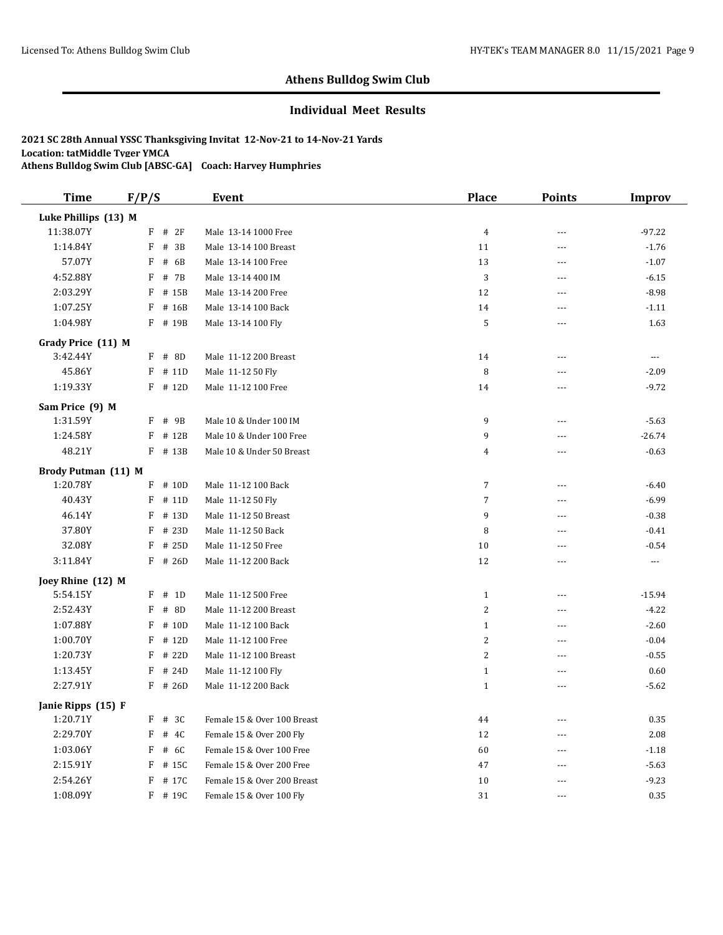#### **Individual Meet Results**

| <b>Time</b>          | F/P/S        |           | Event                       | Place          | <b>Points</b>  | <b>Improv</b>        |
|----------------------|--------------|-----------|-----------------------------|----------------|----------------|----------------------|
| Luke Phillips (13) M |              |           |                             |                |                |                      |
| 11:38.07Y            | F            | # 2F      | Male 13-14 1000 Free        | $\overline{4}$ | ---            | $-97.22$             |
| 1:14.84Y             | F            | # 3B      | Male 13-14 100 Breast       | 11             | ---            | $-1.76$              |
| 57.07Y               | F            | # 6B      | Male 13-14 100 Free         | 13             | $\sim$         | $-1.07$              |
| 4:52.88Y             | F            | # 7B      | Male 13-14 400 IM           | $\sqrt{3}$     | $\sim$         | $-6.15$              |
| 2:03.29Y             | F            | # 15B     | Male 13-14 200 Free         | 12             | $\sim$         | $-8.98$              |
| 1:07.25Y             | F            | # 16B     | Male 13-14 100 Back         | 14             | $\overline{a}$ | $-1.11$              |
| 1:04.98Y             | F            | # 19B     | Male 13-14 100 Fly          | $\mathsf S$    | $\sim$         | 1.63                 |
| Grady Price (11) M   |              |           |                             |                |                |                      |
| 3:42.44Y             | $\mathbf{F}$ | # 8D      | Male 11-12 200 Breast       | 14             | $\overline{a}$ | $\scriptstyle\cdots$ |
| 45.86Y               | F            | # 11D     | Male 11-12 50 Fly           | 8              | $\sim$         | $-2.09$              |
| 1:19.33Y             |              | $F$ # 12D | Male 11-12 100 Free         | 14             | ---            | $-9.72$              |
| Sam Price (9) M      |              |           |                             |                |                |                      |
| 1:31.59Y             | F            | # 9B      | Male 10 & Under 100 IM      | 9              | ---            | $-5.63$              |
| 1:24.58Y             |              | $F$ # 12B | Male 10 & Under 100 Free    | 9              | $\sim$         | $-26.74$             |
| 48.21Y               |              | F # 13B   | Male 10 & Under 50 Breast   | 4              | $\sim$ $\sim$  | $-0.63$              |
| Brody Putman (11) M  |              |           |                             |                |                |                      |
| 1:20.78Y             |              | $F$ # 10D | Male 11-12 100 Back         | 7              | $-$            | $-6.40$              |
| 40.43Y               | F            | # 11D     | Male 11-12 50 Fly           | $\overline{7}$ | ---            | $-6.99$              |
| 46.14Y               | F            | # 13D     | Male 11-12 50 Breast        | 9              | $---$          | $-0.38$              |
| 37.80Y               | F            | # 23D     | Male 11-12 50 Back          | 8              | $-$            | $-0.41$              |
| 32.08Y               | F            | # 25D     | Male 11-12 50 Free          | 10             | ---            | $-0.54$              |
| 3:11.84Y             | F            | # 26D     | Male 11-12 200 Back         | 12             | $-$            | $\overline{a}$       |
| Joey Rhine (12) M    |              |           |                             |                |                |                      |
| 5:54.15Y             | F            | # 1D      | Male 11-12 500 Free         | $\mathbf{1}$   | $\sim$         | $-15.94$             |
| 2:52.43Y             | F            | # 8D      | Male 11-12 200 Breast       | $\overline{2}$ | $\sim$         | $-4.22$              |
| 1:07.88Y             | F            | # 10D     | Male 11-12 100 Back         | $\mathbf{1}$   | ---            | $-2.60$              |
| 1:00.70Y             | F            | # 12D     | Male 11-12 100 Free         | $\overline{2}$ | $\sim$ $\sim$  | $-0.04$              |
| 1:20.73Y             | F            | # 22D     | Male 11-12 100 Breast       | $\overline{2}$ | $\sim$         | $-0.55$              |
| 1:13.45Y             | F            | # 24D     | Male 11-12 100 Fly          | $1\,$          | $\overline{a}$ | 0.60                 |
| 2:27.91Y             |              | $F$ # 26D | Male 11-12 200 Back         | $\mathbf{1}$   | $\sim$         | $-5.62$              |
| Janie Ripps (15) F   |              |           |                             |                |                |                      |
| 1:20.71Y             |              | F # 3C    | Female 15 & Over 100 Breast | 44             | $\overline{a}$ | 0.35                 |
| 2:29.70Y             | F            | # 4C      | Female 15 & Over 200 Fly    | 12             | $-$            | 2.08                 |
| 1:03.06Y             | F            | # 6C      | Female 15 & Over 100 Free   | 60             | $\sim$         | $-1.18$              |
| 2:15.91Y             | F            | # 15C     | Female 15 & Over 200 Free   | 47             | $\sim$ $\sim$  | $-5.63$              |
| 2:54.26Y             | F            | # 17C     | Female 15 & Over 200 Breast | 10             | ---            | $-9.23$              |
| 1:08.09Y             | F            | # 19C     | Female 15 & Over 100 Fly    | 31             | $\sim$ $\sim$  | 0.35                 |
|                      |              |           |                             |                |                |                      |